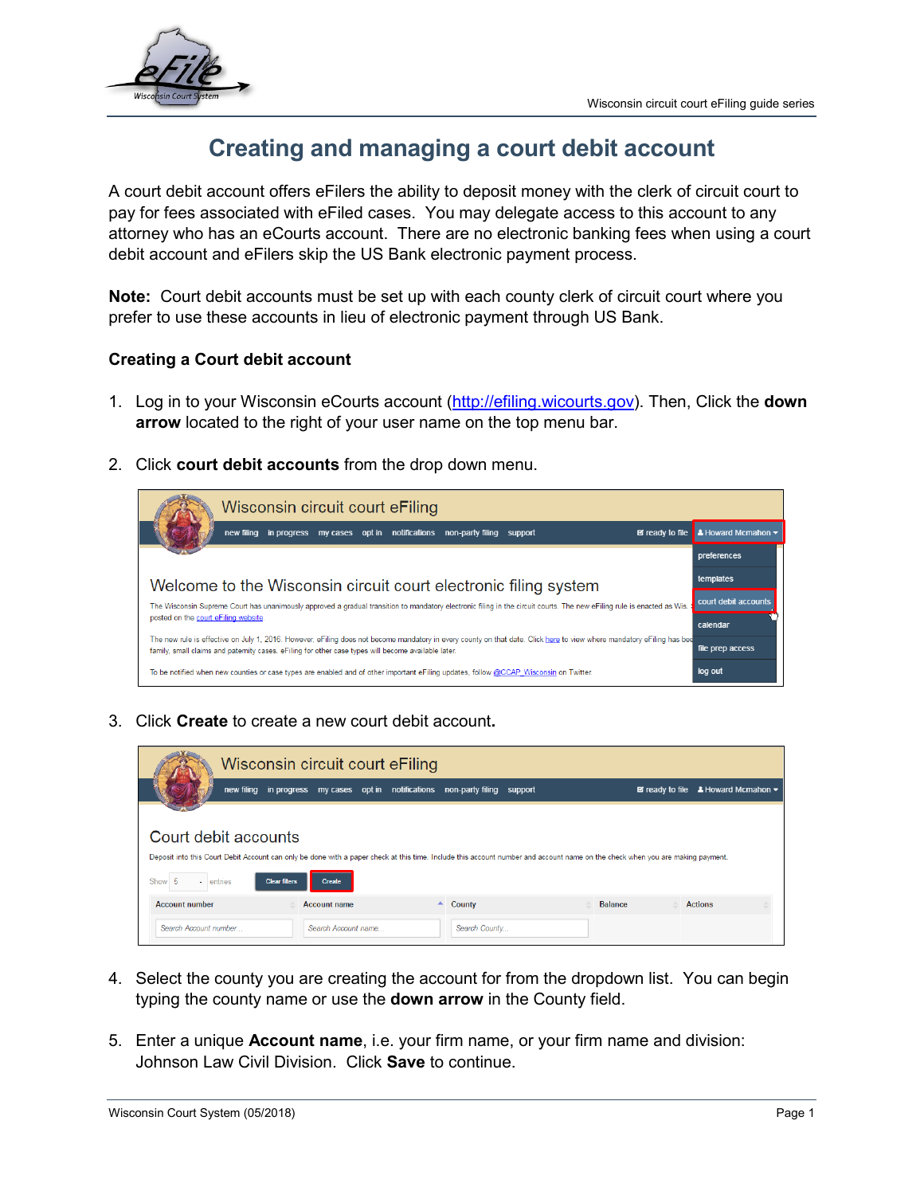

# **Creating and managing a court debit account**

A court debit account offers eFilers the ability to deposit money with the clerk of circuit court to pay for fees associated with eFiled cases. You may delegate access to this account to any attorney who has an eCourts account. There are no electronic banking fees when using a court debit account and eFilers skip the US Bank electronic payment process.

**Note:** Court debit accounts must be set up with each county clerk of circuit court where you prefer to use these accounts in lieu of electronic payment through US Bank.

# **Creating a Court debit account**

- 1. Log in to your Wisconsin eCourts account [\(http://efiling.wicourts.gov\)](http://efiling.wicourts.gov/). Then, Click the **down arrow** located to the right of your user name on the top menu bar.
- 2. Click **court debit accounts** from the drop down menu.



3. Click **Create** to create a new court debit account**.**

|                               |                      |                     | Wisconsin circuit court eFiling |                                                                       |                                                                                                                                                                                |                |                                                                   |  |
|-------------------------------|----------------------|---------------------|---------------------------------|-----------------------------------------------------------------------|--------------------------------------------------------------------------------------------------------------------------------------------------------------------------------|----------------|-------------------------------------------------------------------|--|
|                               |                      |                     |                                 | new filing in progress my cases opt in notifications non-party filing | support                                                                                                                                                                        |                | $\Xi$ ready to file $\Delta$ Howard Mcmahon $\blacktriangleright$ |  |
|                               |                      |                     |                                 |                                                                       |                                                                                                                                                                                |                |                                                                   |  |
| Court debit accounts          |                      |                     |                                 |                                                                       |                                                                                                                                                                                |                |                                                                   |  |
|                               |                      |                     |                                 |                                                                       | Deposit into this Court Debit Account can only be done with a paper check at this time. Include this account number and account name on the check when you are making payment. |                |                                                                   |  |
| -5<br>$\cdot$ entries<br>Show | <b>Clear filters</b> | Create              |                                 |                                                                       |                                                                                                                                                                                |                |                                                                   |  |
| <b>Account number</b>         |                      | <b>Account name</b> |                                 | $\blacktriangle$<br>County                                            |                                                                                                                                                                                | <b>Balance</b> | <b>Actions</b>                                                    |  |
| Search Account number         |                      | Search Account name |                                 | Search County                                                         |                                                                                                                                                                                |                |                                                                   |  |

- 4. Select the county you are creating the account for from the dropdown list. You can begin typing the county name or use the **down arrow** in the County field.
- 5. Enter a unique **Account name**, i.e. your firm name, or your firm name and division: Johnson Law Civil Division. Click **Save** to continue.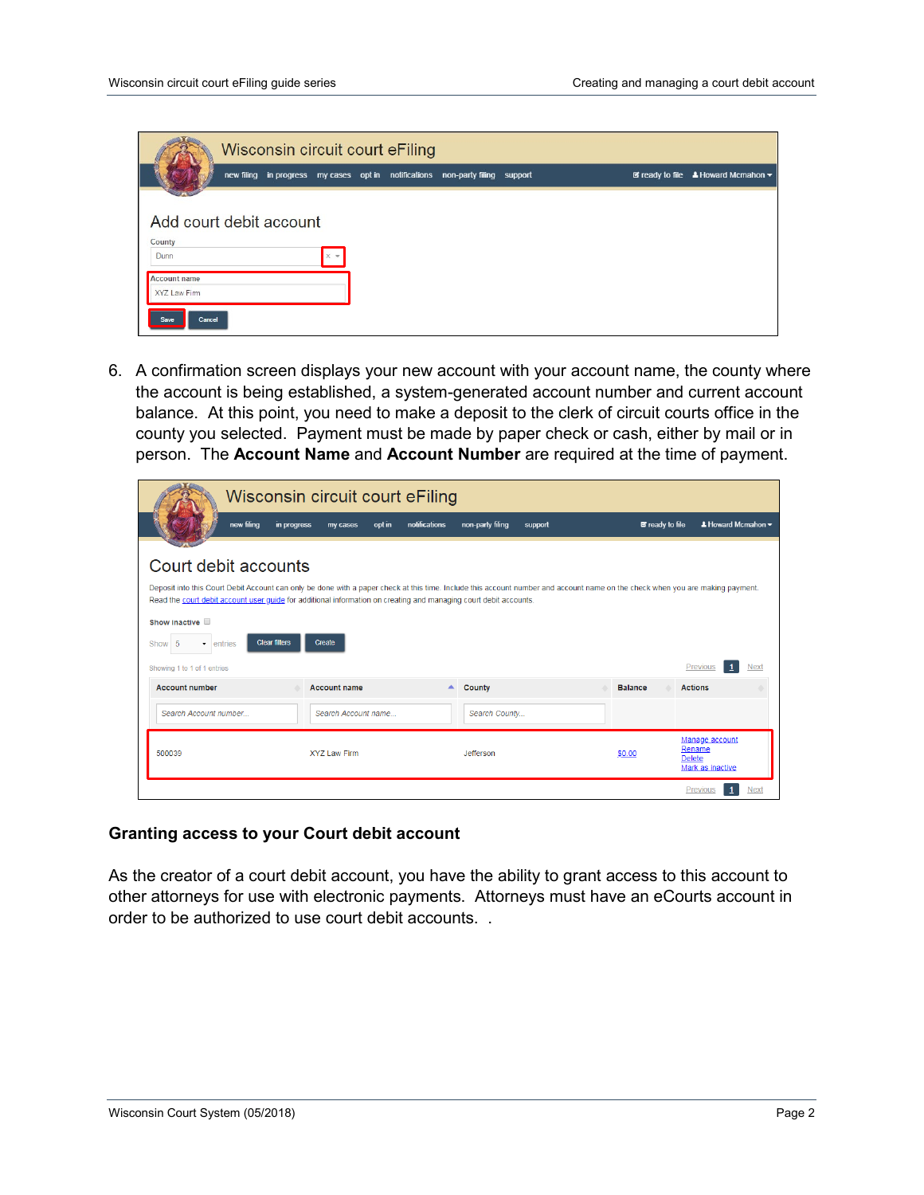|                                     |  |              | Wisconsin circuit court eFiling |                                                                               |  |  |                                                                            |
|-------------------------------------|--|--------------|---------------------------------|-------------------------------------------------------------------------------|--|--|----------------------------------------------------------------------------|
|                                     |  |              |                                 | new filing in progress my cases opt in notifications non-party filing support |  |  | $\boxtimes$ ready to file $\triangle$ Howard Mcmahon $\blacktriangleright$ |
|                                     |  |              |                                 |                                                                               |  |  |                                                                            |
| Add court debit account<br>County   |  |              |                                 |                                                                               |  |  |                                                                            |
| Dunn                                |  | $\times$ $*$ |                                 |                                                                               |  |  |                                                                            |
| <b>Account name</b><br>XYZ Law Firm |  |              |                                 |                                                                               |  |  |                                                                            |
| Cancel<br><b>Save</b>               |  |              |                                 |                                                                               |  |  |                                                                            |

6. A confirmation screen displays your new account with your account name, the county where the account is being established, a system-generated account number and current account balance. At this point, you need to make a deposit to the clerk of circuit courts office in the county you selected. Payment must be made by paper check or cash, either by mail or in person. The **Account Name** and **Account Number** are required at the time of payment.

|                                                                                                                                                                                                                                                                                                                                                                                                     | Wisconsin circuit court eFiling     |                             |                        |                                                               |
|-----------------------------------------------------------------------------------------------------------------------------------------------------------------------------------------------------------------------------------------------------------------------------------------------------------------------------------------------------------------------------------------------------|-------------------------------------|-----------------------------|------------------------|---------------------------------------------------------------|
| new filing<br>in progress                                                                                                                                                                                                                                                                                                                                                                           | notifications<br>opt in<br>my cases | non-party filing<br>support | <b>E</b> ready to file | $\triangle$ Howard Mcmahon $\blacktriangleright$              |
| Court debit accounts<br>Deposit into this Court Debit Account can only be done with a paper check at this time. Include this account number and account name on the check when you are making payment.<br>Read the court debit account user quide for additional information on creating and managing court debit accounts.<br>Show inactive<br><b>Clear filters</b><br>-5<br>Show<br>entries<br>۰. | Create                              |                             |                        |                                                               |
| Showing 1 to 1 of 1 entries                                                                                                                                                                                                                                                                                                                                                                         |                                     |                             |                        | <b>Previous</b><br>Next                                       |
| <b>Account number</b>                                                                                                                                                                                                                                                                                                                                                                               | <b>Account name</b><br>▴            | <b>County</b>               | <b>Balance</b>         | <b>Actions</b>                                                |
| Search Account number                                                                                                                                                                                                                                                                                                                                                                               | Search Account name                 | Search County               |                        |                                                               |
| 500039                                                                                                                                                                                                                                                                                                                                                                                              | <b>XYZ Law Firm</b>                 | Jefferson                   | \$0.00                 | Manage account<br>Rename<br><b>Delete</b><br>Mark as inactive |
|                                                                                                                                                                                                                                                                                                                                                                                                     |                                     |                             |                        | Next<br><b>Previous</b>                                       |

### **Granting access to your Court debit account**

As the creator of a court debit account, you have the ability to grant access to this account to other attorneys for use with electronic payments. Attorneys must have an eCourts account in order to be authorized to use court debit accounts. .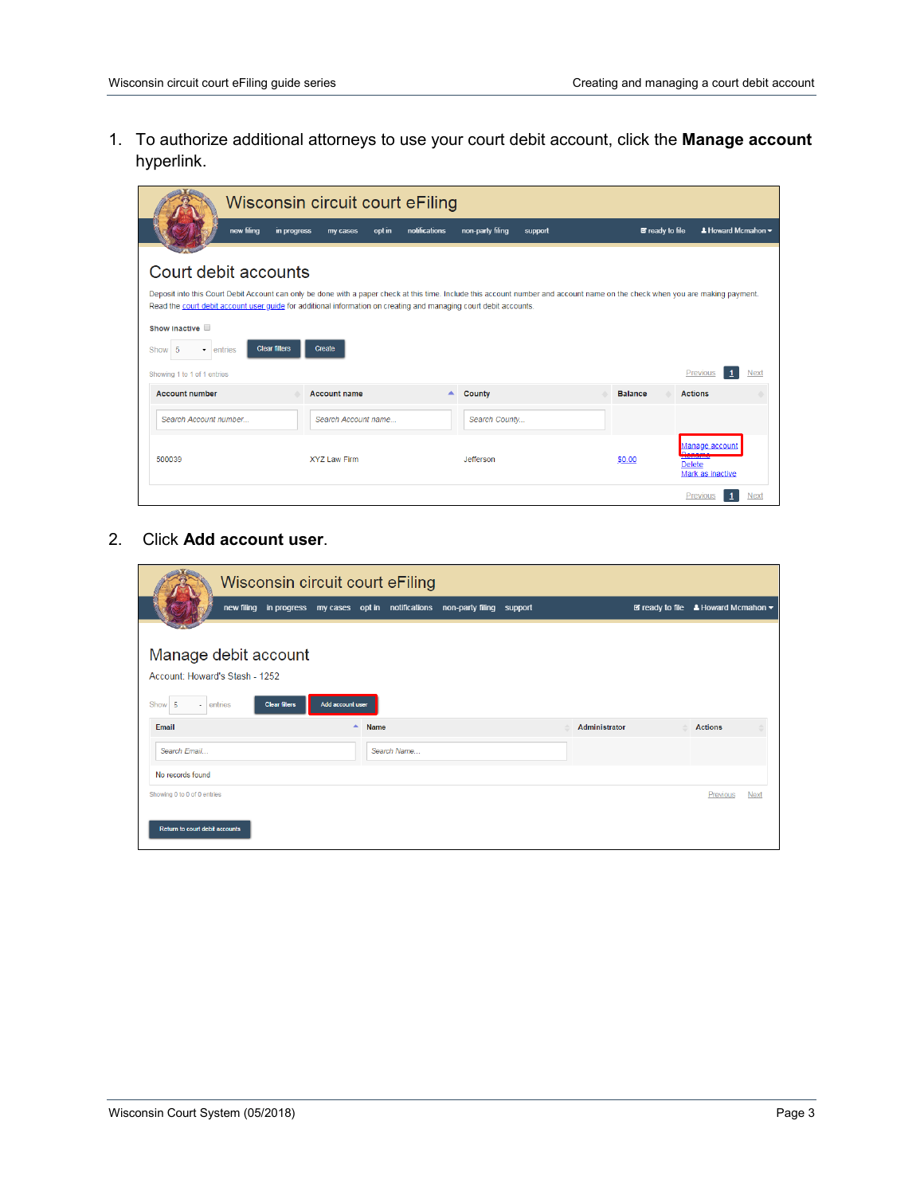1. To authorize additional attorneys to use your court debit account, click the **Manage account** hyperlink.

|                                                                                                                                                                                                                                                                                                                                                                                                                                         | Wisconsin circuit court eFiling |               |                  |         |                        |                                                                             |                                                  |
|-----------------------------------------------------------------------------------------------------------------------------------------------------------------------------------------------------------------------------------------------------------------------------------------------------------------------------------------------------------------------------------------------------------------------------------------|---------------------------------|---------------|------------------|---------|------------------------|-----------------------------------------------------------------------------|--------------------------------------------------|
| new filing<br>in progress                                                                                                                                                                                                                                                                                                                                                                                                               | opt in<br>my cases              | notifications | non-party filing | support | <b>E</b> ready to file |                                                                             | $\triangle$ Howard Mcmahon $\blacktriangleright$ |
| Court debit accounts<br>Deposit into this Court Debit Account can only be done with a paper check at this time. Include this account number and account name on the check when you are making payment.<br>Read the court debit account user quide for additional information on creating and managing court debit accounts.<br>Show inactive<br><b>Clear filters</b><br>Show<br>-5<br>entries<br>$\cdot$<br>Showing 1 to 1 of 1 entries | Create                          |               |                  |         |                        | Previous                                                                    | Next                                             |
| <b>Account number</b>                                                                                                                                                                                                                                                                                                                                                                                                                   | <b>Account name</b>             | ▲             | <b>County</b>    |         | <b>Balance</b>         | <b>Actions</b>                                                              |                                                  |
| Search Account number                                                                                                                                                                                                                                                                                                                                                                                                                   | Search Account name             |               | Search County    |         |                        |                                                                             |                                                  |
| 500039                                                                                                                                                                                                                                                                                                                                                                                                                                  | XYZ Law Firm                    |               | Jefferson        |         | \$0.00                 | Manage account<br><b>ANGELIA CHECK</b><br><b>Delete</b><br>Mark as inactive |                                                  |
|                                                                                                                                                                                                                                                                                                                                                                                                                                         |                                 |               |                  |         |                        | Previous                                                                    | Next                                             |

2. Click **Add account user**.

|                                | Wisconsin circuit court eFiling                                               |                                 |  |               |                                                                            |                |             |
|--------------------------------|-------------------------------------------------------------------------------|---------------------------------|--|---------------|----------------------------------------------------------------------------|----------------|-------------|
|                                | new filing in progress my cases opt in notifications non-party filing support |                                 |  |               | $\boxtimes$ ready to file $\triangle$ Howard Mcmahon $\blacktriangleright$ |                |             |
|                                |                                                                               |                                 |  |               |                                                                            |                |             |
| Manage debit account           |                                                                               |                                 |  |               |                                                                            |                |             |
| Account: Howard's Stash - 1252 |                                                                               |                                 |  |               |                                                                            |                |             |
| - entries<br>Show 5            | Add account user<br><b>Clear filters</b>                                      |                                 |  |               |                                                                            |                |             |
| Email                          |                                                                               | $\blacktriangle$<br><b>Name</b> |  | Administrator | △                                                                          | <b>Actions</b> |             |
| Search Fmail                   |                                                                               | Search Name                     |  |               |                                                                            |                |             |
| No records found               |                                                                               |                                 |  |               |                                                                            |                |             |
| Showing 0 to 0 of 0 entries    |                                                                               |                                 |  |               |                                                                            | Previous       | <b>Next</b> |
|                                |                                                                               |                                 |  |               |                                                                            |                |             |
| Return to court debit accounts |                                                                               |                                 |  |               |                                                                            |                |             |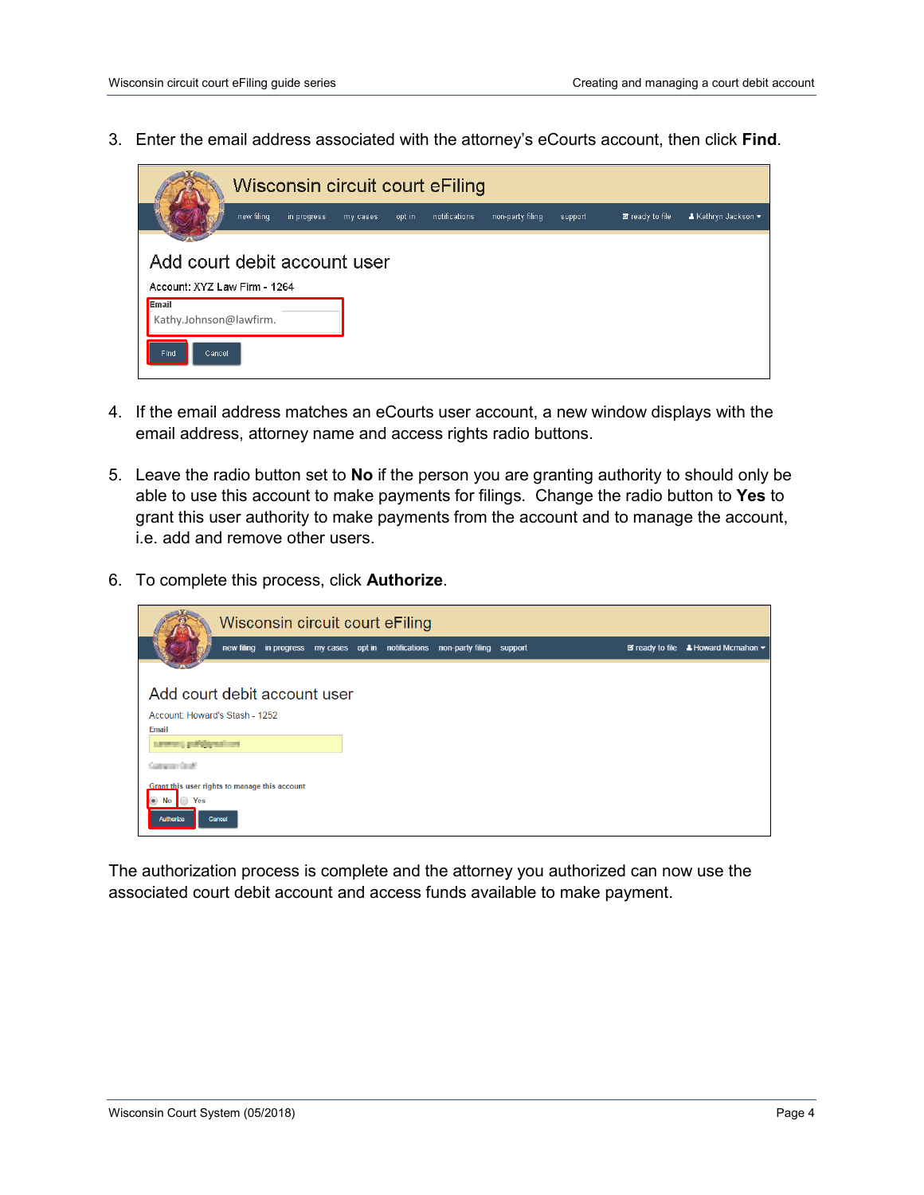3. Enter the email address associated with the attorney's eCourts account, then click **Find**.

|                                                                                                 |            |             |          |        | Wisconsin circuit court eFiling |                  |         |                 |                     |
|-------------------------------------------------------------------------------------------------|------------|-------------|----------|--------|---------------------------------|------------------|---------|-----------------|---------------------|
|                                                                                                 | new filing | in progress | my cases | opt in | notifications                   | non-party filing | support | ■ ready to file | ▲ Kathryn Jackson ▼ |
| Add court debit account user<br>Account: XYZ Law Firm - 1264<br>Email<br>Kathy.Johnson@lawfirm. |            |             |          |        |                                 |                  |         |                 |                     |
| <b>Find</b><br>Cancel                                                                           |            |             |          |        |                                 |                  |         |                 |                     |

- 4. If the email address matches an eCourts user account, a new window displays with the email address, attorney name and access rights radio buttons.
- 5. Leave the radio button set to **No** if the person you are granting authority to should only be able to use this account to make payments for filings. Change the radio button to **Yes** to grant this user authority to make payments from the account and to manage the account, i.e. add and remove other users.
- 6. To complete this process, click **Authorize**.



The authorization process is complete and the attorney you authorized can now use the associated court debit account and access funds available to make payment.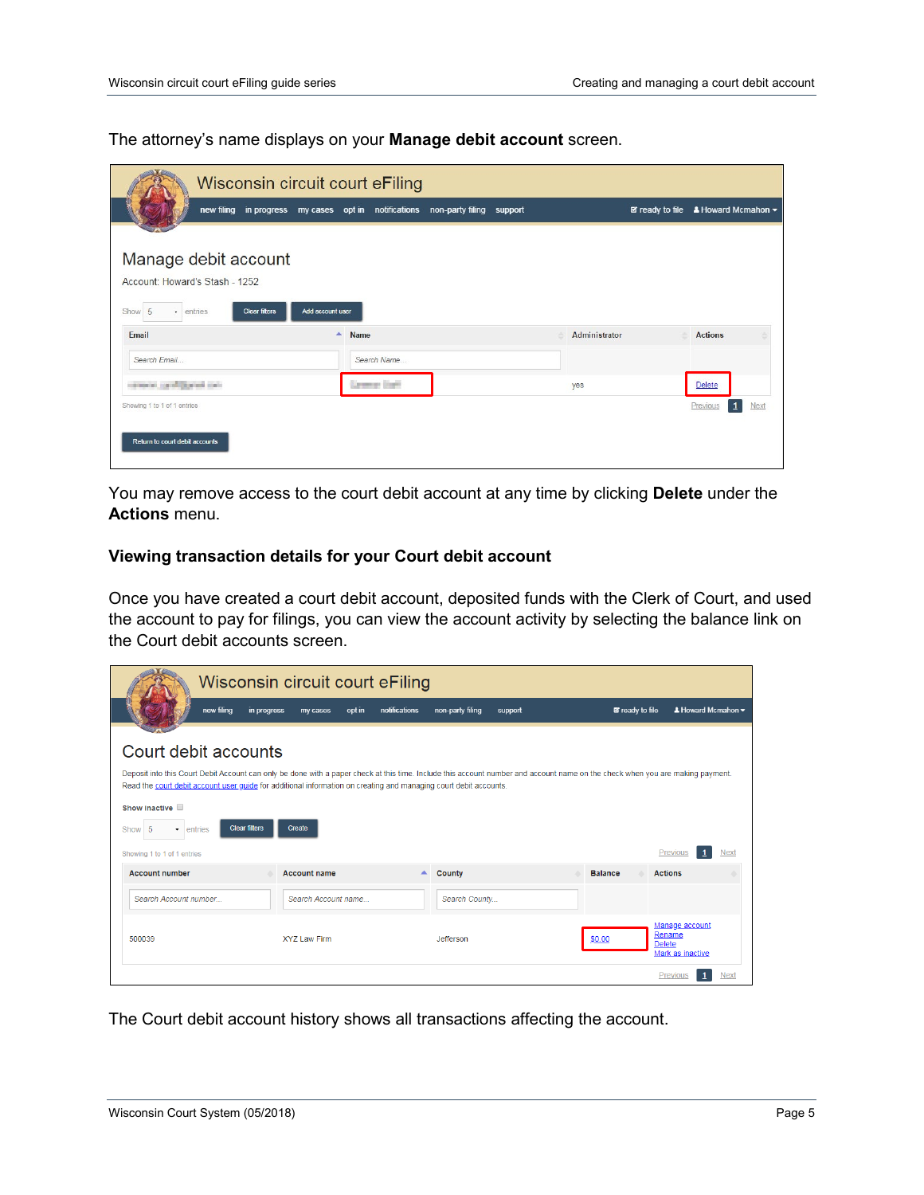The attorney's name displays on your **Manage debit account** screen.

| Wisconsin circuit court eFiling                                                                       |                                                                               |                      |  |               |   |                                                                                  |
|-------------------------------------------------------------------------------------------------------|-------------------------------------------------------------------------------|----------------------|--|---------------|---|----------------------------------------------------------------------------------|
|                                                                                                       | new filing in progress my cases opt in notifications non-party filing support |                      |  |               |   | $\blacksquare$ ready to file $\blacksquare$ Howard Mcmahon $\blacktriangleright$ |
| Manage debit account<br>Account: Howard's Stash - 1252<br>Show 5<br>- entries<br><b>Clear filters</b> | Add account user                                                              |                      |  |               |   |                                                                                  |
| Email                                                                                                 |                                                                               | $\triangle$ Name     |  | Administrator | ٠ | <b>Actions</b>                                                                   |
| Search Email                                                                                          |                                                                               | Search Name          |  |               |   |                                                                                  |
| compared the officer and control                                                                      |                                                                               | <b>Lemmar Daritt</b> |  | yes           |   | Delete                                                                           |
| Showing 1 to 1 of 1 entries<br>Return to court debit accounts                                         |                                                                               |                      |  |               |   | $\mathbf{1}$<br>Previous<br>Next                                                 |

You may remove access to the court debit account at any time by clicking **Delete** under the **Actions** menu.

## **Viewing transaction details for your Court debit account**

Once you have created a court debit account, deposited funds with the Clerk of Court, and used the account to pay for filings, you can view the account activity by selecting the balance link on the Court debit accounts screen.

|                                                                                                                                                                                                                                                                                                                                                                                                      | Wisconsin circuit court eFiling |               |                    |         |                        |                                                               |      |
|------------------------------------------------------------------------------------------------------------------------------------------------------------------------------------------------------------------------------------------------------------------------------------------------------------------------------------------------------------------------------------------------------|---------------------------------|---------------|--------------------|---------|------------------------|---------------------------------------------------------------|------|
| new filing<br>in progress                                                                                                                                                                                                                                                                                                                                                                            | opt in<br>my cases              | notifications | non-party filing   | support | <b>■</b> ready to file | $\triangle$ Howard Mcmahon $\blacktriangleright$              |      |
| Court debit accounts<br>Deposit into this Court Debit Account can only be done with a paper check at this time. Include this account number and account name on the check when you are making payment.<br>Read the court debit account user quide for additional information on creating and managing court debit accounts.<br>Show inactive<br><b>Clear filters</b><br>Show 5<br>entries<br>$\cdot$ | Create                          |               |                    |         |                        |                                                               |      |
| Showing 1 to 1 of 1 entries                                                                                                                                                                                                                                                                                                                                                                          |                                 |               |                    |         |                        | Previous                                                      | Next |
| <b>Account number</b>                                                                                                                                                                                                                                                                                                                                                                                | <b>Account name</b>             |               | $\triangle$ County |         | <b>Balance</b>         | <b>Actions</b>                                                |      |
| Search Account number                                                                                                                                                                                                                                                                                                                                                                                | Search Account name             |               | Search County      |         |                        |                                                               |      |
| 500039                                                                                                                                                                                                                                                                                                                                                                                               | XYZ Law Firm                    |               | Jefferson          |         | \$0.00                 | Manage account<br>Rename<br><b>Delete</b><br>Mark as inactive |      |
|                                                                                                                                                                                                                                                                                                                                                                                                      |                                 |               |                    |         |                        | Previous                                                      | Next |

The Court debit account history shows all transactions affecting the account.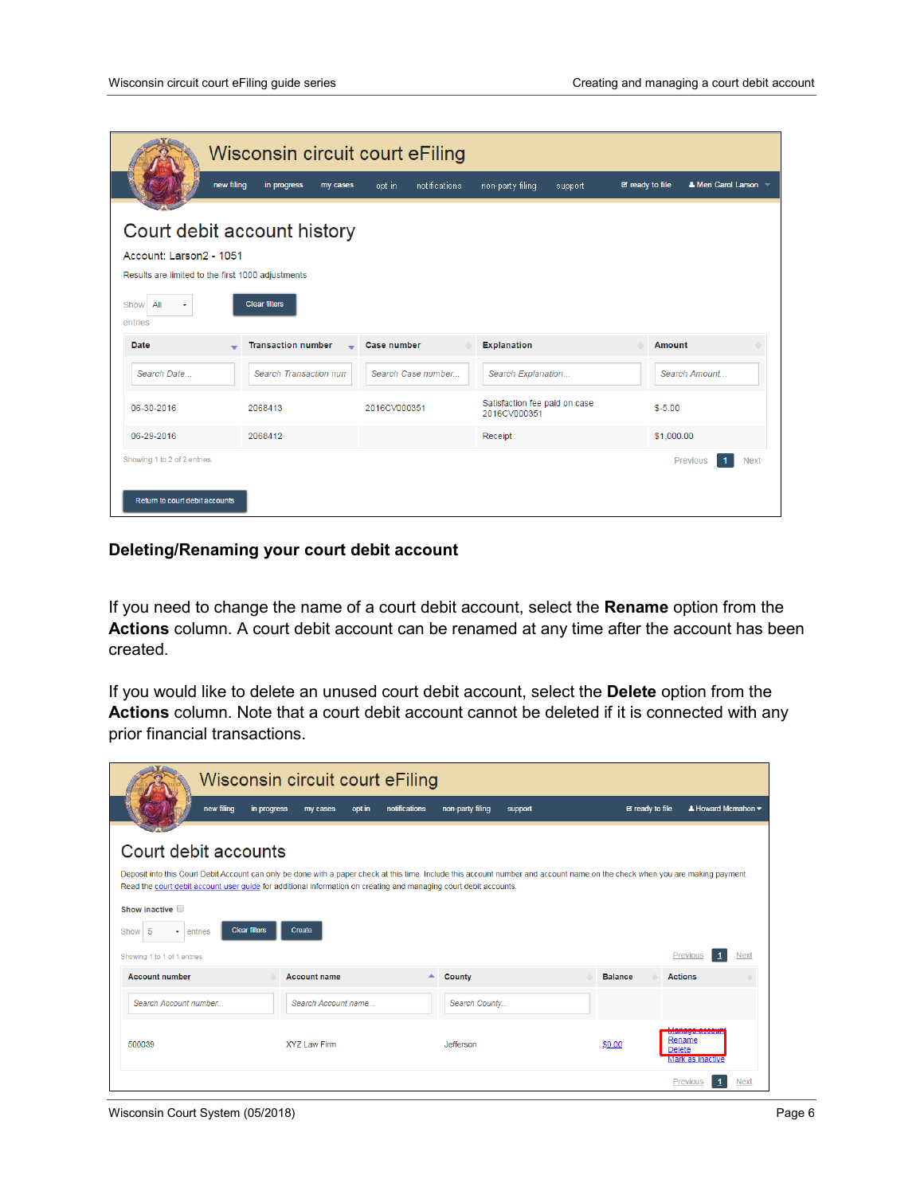|                                                                                                                                       |                           | Wisconsin circuit court eFiling |                    |                                               |         |                        |                            |             |
|---------------------------------------------------------------------------------------------------------------------------------------|---------------------------|---------------------------------|--------------------|-----------------------------------------------|---------|------------------------|----------------------------|-------------|
|                                                                                                                                       | new filing<br>in progress | opt in<br>my cases              | notifications      | non-party filing                              | support | <b>■</b> ready to file | <b>A</b> Meri Carol Larson |             |
| Court debit account history<br>Account: Larson2 - 1051<br>Results are limited to the first 1000 adjustments<br>All<br>Show<br>entries | <b>Clear filters</b>      |                                 |                    |                                               |         |                        |                            |             |
| <b>Date</b>                                                                                                                           | <b>Transaction number</b> | Case number                     |                    | <b>Explanation</b>                            |         | Amount                 |                            |             |
| Search Date                                                                                                                           | Search Transaction num    |                                 | Search Case number | Search Explanation                            |         |                        | Search Amount              |             |
| 06-30-2016                                                                                                                            | 2068413                   | 2016CV000351                    |                    | Satisfaction fee paid on case<br>2016CV000351 |         | $$ -5.00$              |                            |             |
| 06-29-2016                                                                                                                            | 2068412                   |                                 |                    | Receipt                                       |         | \$1,000.00             |                            |             |
| Showing 1 to 2 of 2 entries<br>Return to court debit accounts                                                                         |                           |                                 |                    |                                               |         |                        | Previous                   | <b>Next</b> |

#### **Deleting/Renaming your court debit account**

If you need to change the name of a court debit account, select the **Rename** option from the **Actions** column. A court debit account can be renamed at any time after the account has been created.

If you would like to delete an unused court debit account, select the **Delete** option from the **Actions** column. Note that a court debit account cannot be deleted if it is connected with any prior financial transactions.

|                                                                                                                                                                                                                                                                                                                                              | Wisconsin circuit court eFiling   |                                   |         |                        |                                                                   |
|----------------------------------------------------------------------------------------------------------------------------------------------------------------------------------------------------------------------------------------------------------------------------------------------------------------------------------------------|-----------------------------------|-----------------------------------|---------|------------------------|-------------------------------------------------------------------|
| new filing                                                                                                                                                                                                                                                                                                                                   | in progress<br>opt in<br>my cases | notifications<br>non-party filing | support | <b>E</b> ready to file | $\triangle$ Howard Mcmahon $\blacktriangledown$                   |
| Court debit accounts<br>Deposit into this Court Debit Account can only be done with a paper check at this time. Include this account number and account name on the check when you are making payment.<br>Read the court debit account user quide for additional information on creating and managing court debit accounts.<br>Show inactive |                                   |                                   |         |                        |                                                                   |
| <b>Clear filters</b><br>Show 5<br>entries<br>$\cdot$<br>Showing 1 to 1 of 1 entries                                                                                                                                                                                                                                                          | Create                            |                                   |         |                        | Previous<br><b>Next</b>                                           |
| <b>Account number</b>                                                                                                                                                                                                                                                                                                                        | <b>Account name</b>               | County<br>▲                       |         | <b>Balance</b>         | <b>Actions</b>                                                    |
| Search Account number                                                                                                                                                                                                                                                                                                                        | Search Account name               | Search County                     |         |                        |                                                                   |
| 500039                                                                                                                                                                                                                                                                                                                                       | <b>XYZ Law Firm</b>               | Jefferson                         |         | \$0.00                 | Managa assi<br>Rename<br><b>Delete</b><br><b>Mark as inactive</b> |
|                                                                                                                                                                                                                                                                                                                                              |                                   |                                   |         |                        | <b>Next</b><br>Previous                                           |